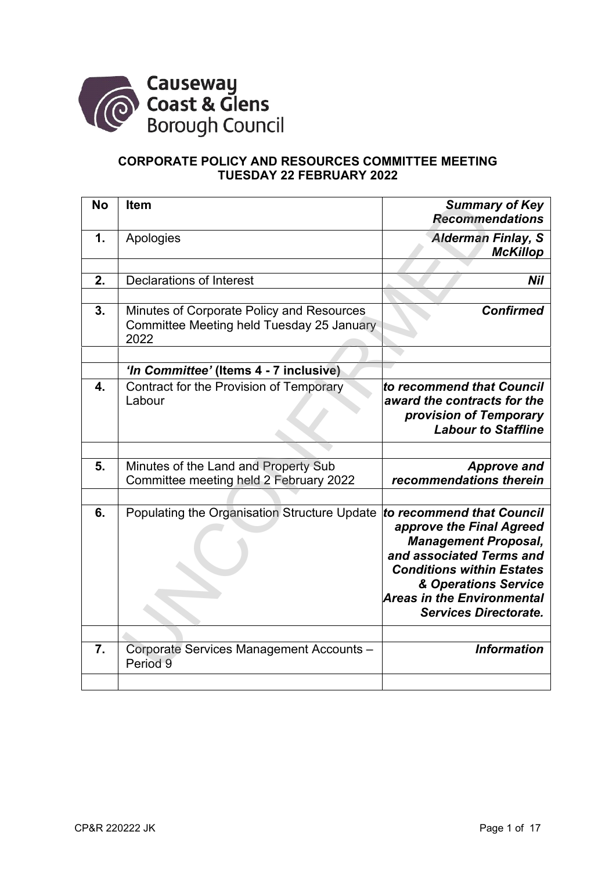

# **CORPORATE POLICY AND RESOURCES COMMITTEE MEETING TUESDAY 22 FEBRUARY 2022**

| <b>No</b> | <b>Item</b>                                                                                    | <b>Summary of Key</b><br><b>Recommendations</b>                                                                                                                                                                                                   |
|-----------|------------------------------------------------------------------------------------------------|---------------------------------------------------------------------------------------------------------------------------------------------------------------------------------------------------------------------------------------------------|
| 1.        | Apologies                                                                                      | <b>Alderman Finlay, S</b><br><b>McKillop</b>                                                                                                                                                                                                      |
|           |                                                                                                |                                                                                                                                                                                                                                                   |
| 2.        | <b>Declarations of Interest</b>                                                                | Nil                                                                                                                                                                                                                                               |
|           |                                                                                                |                                                                                                                                                                                                                                                   |
| 3.        | Minutes of Corporate Policy and Resources<br>Committee Meeting held Tuesday 25 January<br>2022 | <b>Confirmed</b>                                                                                                                                                                                                                                  |
|           |                                                                                                |                                                                                                                                                                                                                                                   |
|           | 'In Committee' (Items 4 - 7 inclusive)                                                         |                                                                                                                                                                                                                                                   |
| 4.        | Contract for the Provision of Temporary<br>Labour                                              | to recommend that Council<br>award the contracts for the<br>provision of Temporary<br><b>Labour to Staffline</b>                                                                                                                                  |
|           |                                                                                                |                                                                                                                                                                                                                                                   |
| 5.        | Minutes of the Land and Property Sub<br>Committee meeting held 2 February 2022                 | <b>Approve and</b><br>recommendations therein                                                                                                                                                                                                     |
|           |                                                                                                |                                                                                                                                                                                                                                                   |
| 6.        | Populating the Organisation Structure Update                                                   | to recommend that Council<br>approve the Final Agreed<br><b>Management Proposal,</b><br>and associated Terms and<br><b>Conditions within Estates</b><br>& Operations Service<br><b>Areas in the Environmental</b><br><b>Services Directorate.</b> |
|           |                                                                                                |                                                                                                                                                                                                                                                   |
| 7.        | Corporate Services Management Accounts -<br>Period 9                                           | <b>Information</b>                                                                                                                                                                                                                                |
|           |                                                                                                |                                                                                                                                                                                                                                                   |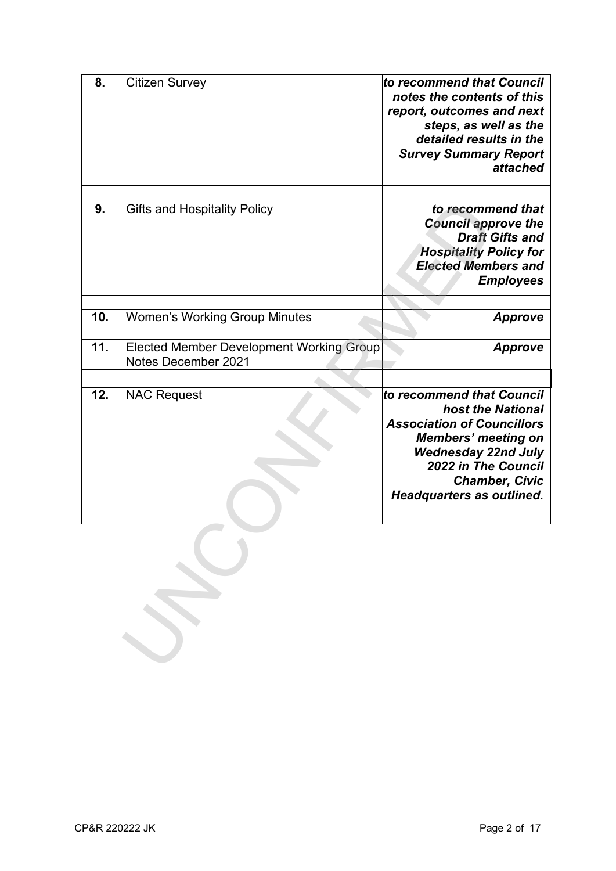| 8.  | <b>Citizen Survey</b>                                                  | to recommend that Council<br>notes the contents of this<br>report, outcomes and next<br>steps, as well as the<br>detailed results in the<br><b>Survey Summary Report</b><br>attached            |
|-----|------------------------------------------------------------------------|-------------------------------------------------------------------------------------------------------------------------------------------------------------------------------------------------|
| 9.  | <b>Gifts and Hospitality Policy</b>                                    | to recommend that<br><b>Council approve the</b><br><b>Draft Gifts and</b><br><b>Hospitality Policy for</b><br><b>Elected Members and</b><br><b>Employees</b>                                    |
| 10. | <b>Women's Working Group Minutes</b>                                   | <b>Approve</b>                                                                                                                                                                                  |
|     |                                                                        |                                                                                                                                                                                                 |
| 11. | <b>Elected Member Development Working Group</b><br>Notes December 2021 | <b>Approve</b>                                                                                                                                                                                  |
|     |                                                                        |                                                                                                                                                                                                 |
| 12. | <b>NAC Request</b>                                                     | to recommend that Council                                                                                                                                                                       |
|     |                                                                        | host the National<br><b>Association of Councillors</b><br><b>Members' meeting on</b><br><b>Wednesday 22nd July</b><br>2022 in The Council<br><b>Chamber, Civic</b><br>Headquarters as outlined. |
|     |                                                                        |                                                                                                                                                                                                 |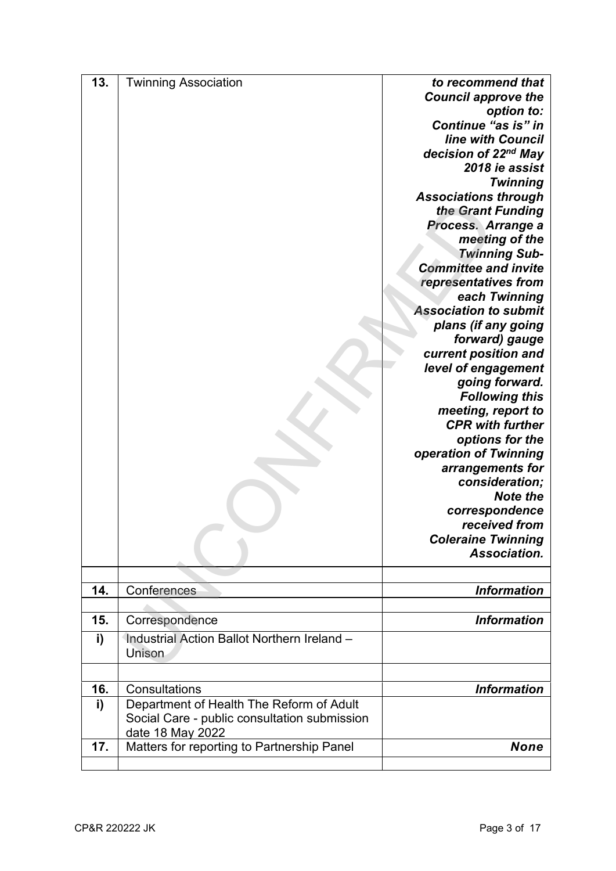| 13. | <b>Twinning Association</b>                  | to recommend that            |
|-----|----------------------------------------------|------------------------------|
|     |                                              | <b>Council approve the</b>   |
|     |                                              | option to:                   |
|     |                                              | Continue "as is" in          |
|     |                                              | line with Council            |
|     |                                              | decision of 22nd May         |
|     |                                              | 2018 ie assist               |
|     |                                              | <b>Twinning</b>              |
|     |                                              | <b>Associations through</b>  |
|     |                                              | the Grant Funding            |
|     |                                              | Process. Arrange a           |
|     |                                              | meeting of the               |
|     |                                              | <b>Twinning Sub-</b>         |
|     |                                              | <b>Committee and invite</b>  |
|     |                                              | representatives from         |
|     |                                              | each Twinning                |
|     |                                              | <b>Association to submit</b> |
|     |                                              | plans (if any going          |
|     |                                              | forward) gauge               |
|     |                                              | current position and         |
|     |                                              | level of engagement          |
|     |                                              | going forward.               |
|     |                                              | <b>Following this</b>        |
|     |                                              | meeting, report to           |
|     |                                              | <b>CPR with further</b>      |
|     |                                              | options for the              |
|     |                                              | operation of Twinning        |
|     |                                              | arrangements for             |
|     |                                              | consideration;               |
|     |                                              | <b>Note the</b>              |
|     |                                              | correspondence               |
|     |                                              | received from                |
|     |                                              | <b>Coleraine Twinning</b>    |
|     |                                              | Association.                 |
|     |                                              |                              |
|     |                                              |                              |
| 14. | Conferences                                  | <b>Information</b>           |
|     |                                              |                              |
| 15. | Correspondence                               | <b>Information</b>           |
| i)  | Industrial Action Ballot Northern Ireland -  |                              |
|     | Unison                                       |                              |
|     |                                              |                              |
| 16. | Consultations                                | <b>Information</b>           |
| i)  | Department of Health The Reform of Adult     |                              |
|     | Social Care - public consultation submission |                              |
|     | date 18 May 2022                             |                              |
| 17. | Matters for reporting to Partnership Panel   | <b>None</b>                  |
|     |                                              |                              |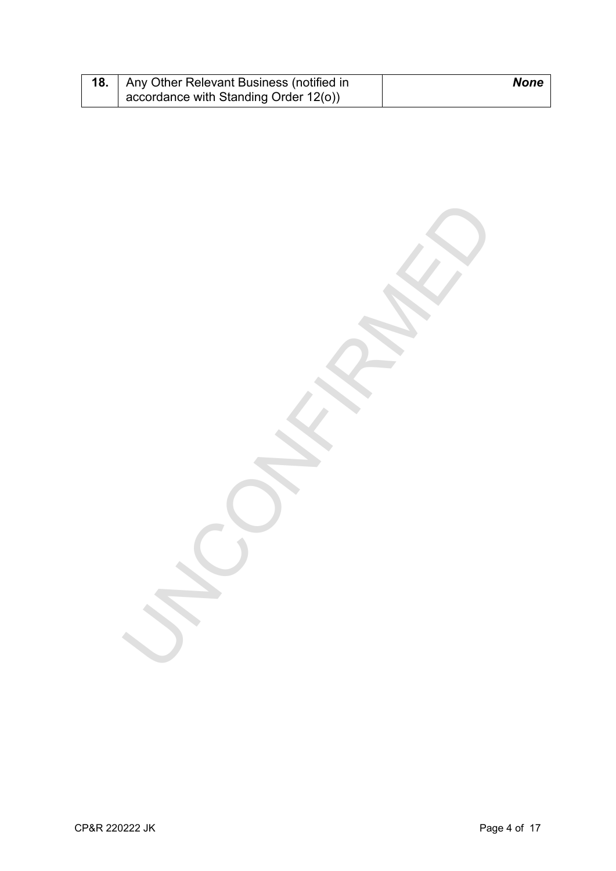| <b>18.</b> Any Other Relevant Business (notified in | <b>None</b> |
|-----------------------------------------------------|-------------|
| accordance with Standing Order 12(o))               |             |

UNCONFIRMED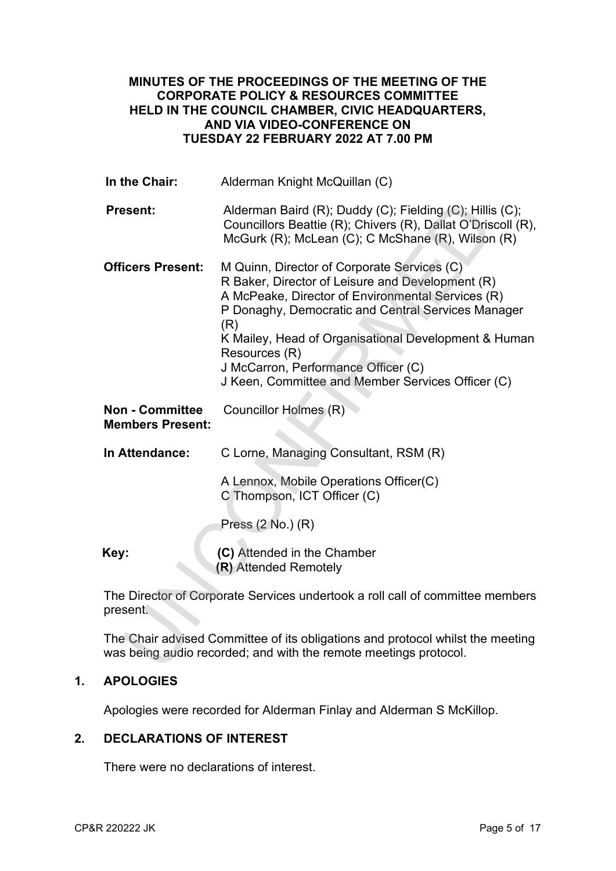## **MINUTES OF THE PROCEEDINGS OF THE MEETING OF THE CORPORATE POLICY & RESOURCES COMMITTEE HELD IN THE COUNCIL CHAMBER, CIVIC HEADQUARTERS, AND VIA VIDEO-CONFERENCE ON TUESDAY 22 FEBRUARY 2022 AT 7.00 PM**

| Councillors Beattie (R); Chivers (R), Dallat O'Driscoll (R),                                               |
|------------------------------------------------------------------------------------------------------------|
| P Donaghy, Democratic and Central Services Manager<br>K Mailey, Head of Organisational Development & Human |
|                                                                                                            |
|                                                                                                            |
|                                                                                                            |
|                                                                                                            |
|                                                                                                            |
| The Director of Corporate Services undertook a roll call of committee members                              |
| The Chair advised Committee of its obligations and protocol whilst the meeting                             |
|                                                                                                            |

# **1. APOLOGIES**

Apologies were recorded for Alderman Finlay and Alderman S McKillop.

## **2. DECLARATIONS OF INTEREST**

There were no declarations of interest.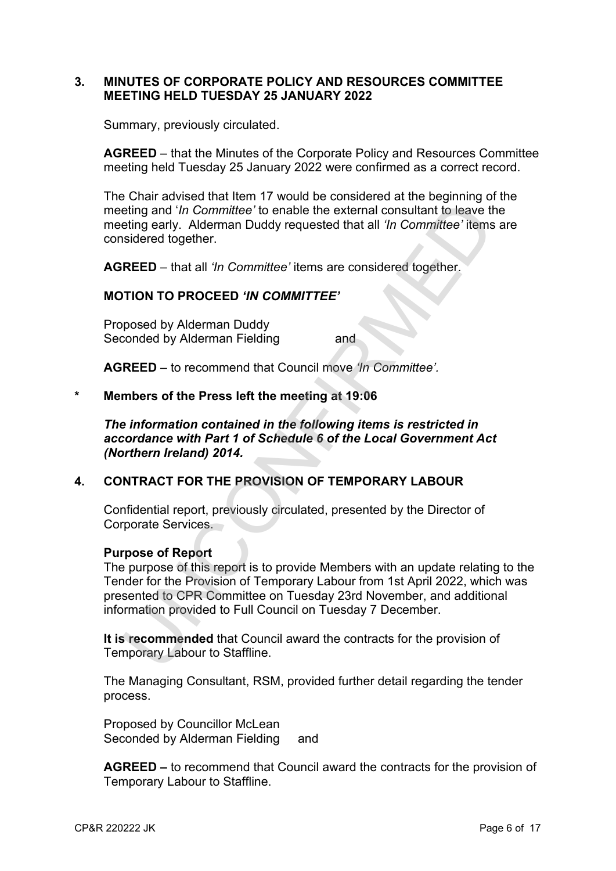## **3. MINUTES OF CORPORATE POLICY AND RESOURCES COMMITTEE MEETING HELD TUESDAY 25 JANUARY 2022**

Summary, previously circulated.

**AGREED** – that the Minutes of the Corporate Policy and Resources Committee meeting held Tuesday 25 January 2022 were confirmed as a correct record.

The Chair advised that Item 17 would be considered at the beginning of the meeting and '*In Committee'* to enable the external consultant to leave the meeting early. Alderman Duddy requested that all *'In Committee'* items are considered together.

**AGREED** – that all *'In Committee'* items are considered together.

## **MOTION TO PROCEED** *'IN COMMITTEE'*

Proposed by Alderman Duddy Seconded by Alderman Fielding and

**AGREED** – to recommend that Council move *'In Committee'.* 

### **\* Members of the Press left the meeting at 19:06**

*The information contained in the following items is restricted in accordance with Part 1 of Schedule 6 of the Local Government Act (Northern Ireland) 2014.* 

## **4. CONTRACT FOR THE PROVISION OF TEMPORARY LABOUR**

Confidential report, previously circulated, presented by the Director of Corporate Services.

#### **Purpose of Report**

The purpose of this report is to provide Members with an update relating to the Tender for the Provision of Temporary Labour from 1st April 2022, which was presented to CPR Committee on Tuesday 23rd November, and additional information provided to Full Council on Tuesday 7 December. eting and '*In Committee'* to enable the external consultant to leave the<br>eting and '*In Committee'* to enable the external consultant to leave the<br>eting and '*In Committee'* to enable the external consultant to leave the<br>

**It is recommended** that Council award the contracts for the provision of Temporary Labour to Staffline.

The Managing Consultant, RSM, provided further detail regarding the tender process.

Proposed by Councillor McLean Seconded by Alderman Fielding and

**AGREED –** to recommend that Council award the contracts for the provision of Temporary Labour to Staffline.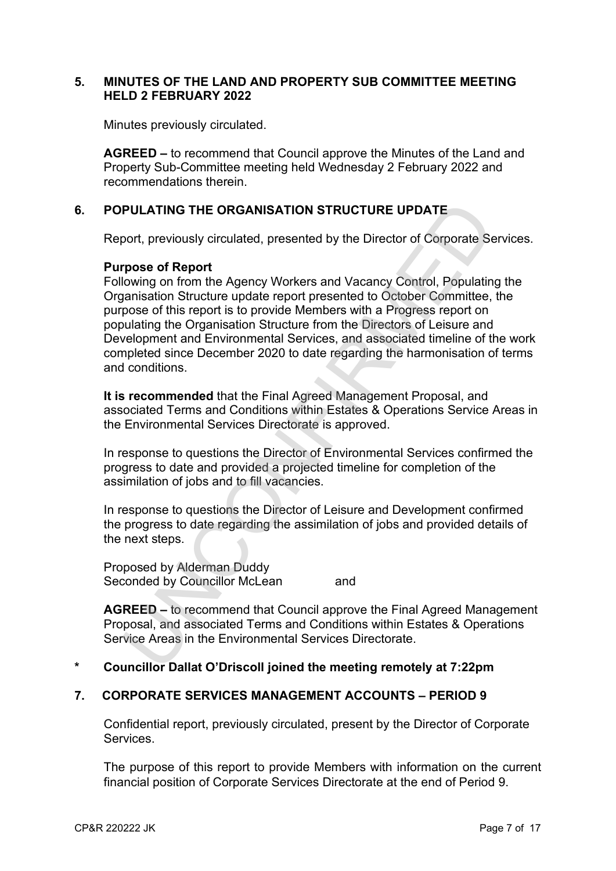## **5. MINUTES OF THE LAND AND PROPERTY SUB COMMITTEE MEETING HELD 2 FEBRUARY 2022**

Minutes previously circulated.

**AGREED –** to recommend that Council approve the Minutes of the Land and Property Sub-Committee meeting held Wednesday 2 February 2022 and recommendations therein.

# **6. POPULATING THE ORGANISATION STRUCTURE UPDATE**

Report, previously circulated, presented by the Director of Corporate Services.

### **Purpose of Report**

Following on from the Agency Workers and Vacancy Control, Populating the Organisation Structure update report presented to October Committee, the purpose of this report is to provide Members with a Progress report on populating the Organisation Structure from the Directors of Leisure and Development and Environmental Services, and associated timeline of the work completed since December 2020 to date regarding the harmonisation of terms and conditions. **PULATING THE ORGANISATION STRUCTURE UPDATE**<br>
Doort, previously circulated, presented by the Director of Corporate Se<br>
prose of Report<br>
Howing on from the Agency Workers and Vacancy Control, Populatin<br>
graphisation Structu

**It is recommended** that the Final Agreed Management Proposal, and associated Terms and Conditions within Estates & Operations Service Areas in the Environmental Services Directorate is approved.

In response to questions the Director of Environmental Services confirmed the progress to date and provided a projected timeline for completion of the assimilation of jobs and to fill vacancies.

In response to questions the Director of Leisure and Development confirmed the progress to date regarding the assimilation of jobs and provided details of the next steps.

Proposed by Alderman Duddy Seconded by Councillor McLean and

**AGREED –** to recommend that Council approve the Final Agreed Management Proposal, and associated Terms and Conditions within Estates & Operations Service Areas in the Environmental Services Directorate.

## **\* Councillor Dallat O'Driscoll joined the meeting remotely at 7:22pm**

## **7. CORPORATE SERVICES MANAGEMENT ACCOUNTS – PERIOD 9**

Confidential report, previously circulated, present by the Director of Corporate Services.

The purpose of this report to provide Members with information on the current financial position of Corporate Services Directorate at the end of Period 9.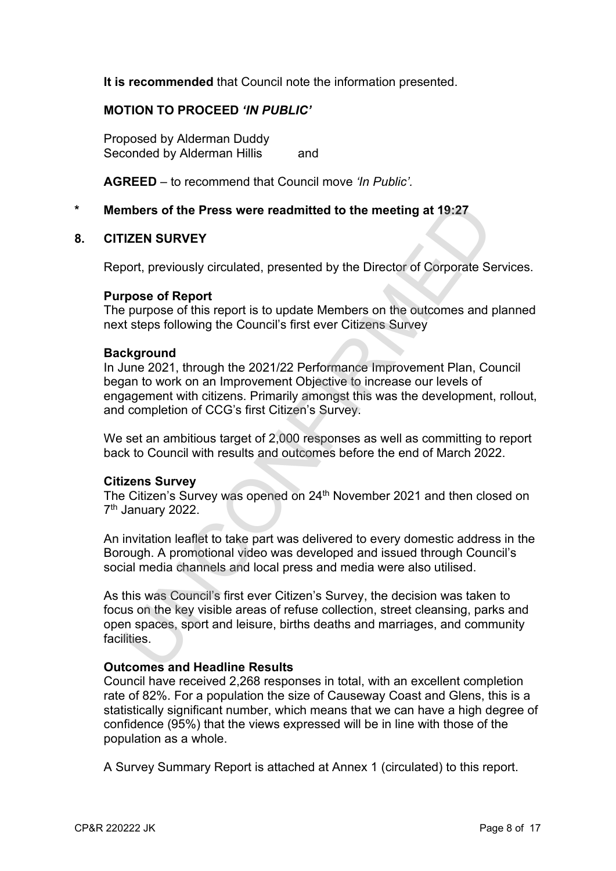**It is recommended** that Council note the information presented.

## **MOTION TO PROCEED** *'IN PUBLIC'*

Proposed by Alderman Duddy Seconded by Alderman Hillis and

**AGREED** – to recommend that Council move *'In Public'.* 

### **\* Members of the Press were readmitted to the meeting at 19:27**

#### **8. CITIZEN SURVEY**

Report, previously circulated, presented by the Director of Corporate Services.

#### **Purpose of Report**

The purpose of this report is to update Members on the outcomes and planned next steps following the Council's first ever Citizens Survey

#### **Background**

In June 2021, through the 2021/22 Performance Improvement Plan, Council began to work on an Improvement Objective to increase our levels of engagement with citizens. Primarily amongst this was the development, rollout, and completion of CCG's first Citizen's Survey. mbers of the Press were readmitted to the meeting at 19:27<br>
TZEN SURVEY<br>
TZEN SURVEY<br>
Doort, previously circulated, presented by the Director of Corporate Se<br>
pose of Report<br>
propose of Report<br>
Express of this report is to

We set an ambitious target of 2,000 responses as well as committing to report back to Council with results and outcomes before the end of March 2022.

#### **Citizens Survey**

The Citizen's Survey was opened on 24<sup>th</sup> November 2021 and then closed on 7<sup>th</sup> January 2022.

An invitation leaflet to take part was delivered to every domestic address in the Borough. A promotional video was developed and issued through Council's social media channels and local press and media were also utilised.

As this was Council's first ever Citizen's Survey, the decision was taken to focus on the key visible areas of refuse collection, street cleansing, parks and open spaces, sport and leisure, births deaths and marriages, and community facilities.

#### **Outcomes and Headline Results**

Council have received 2,268 responses in total, with an excellent completion rate of 82%. For a population the size of Causeway Coast and Glens, this is a statistically significant number, which means that we can have a high degree of confidence (95%) that the views expressed will be in line with those of the population as a whole.

A Survey Summary Report is attached at Annex 1 (circulated) to this report.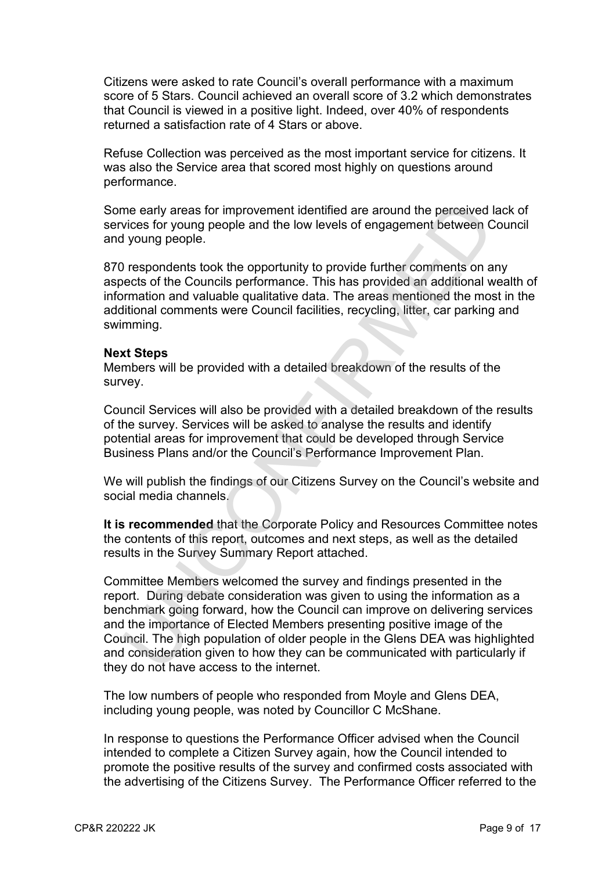Citizens were asked to rate Council's overall performance with a maximum score of 5 Stars. Council achieved an overall score of 3.2 which demonstrates that Council is viewed in a positive light. Indeed, over 40% of respondents returned a satisfaction rate of 4 Stars or above.

Refuse Collection was perceived as the most important service for citizens. It was also the Service area that scored most highly on questions around performance.

Some early areas for improvement identified are around the perceived lack of services for young people and the low levels of engagement between Council and young people.

870 respondents took the opportunity to provide further comments on any aspects of the Councils performance. This has provided an additional wealth of information and valuable qualitative data. The areas mentioned the most in the additional comments were Council facilities, recycling, litter, car parking and swimming.

#### **Next Steps**

Members will be provided with a detailed breakdown of the results of the survey.

Council Services will also be provided with a detailed breakdown of the results of the survey. Services will be asked to analyse the results and identify potential areas for improvement that could be developed through Service Business Plans and/or the Council's Performance Improvement Plan.

We will publish the findings of our Citizens Survey on the Council's website and social media channels.

**It is recommended** that the Corporate Policy and Resources Committee notes the contents of this report, outcomes and next steps, as well as the detailed results in the Survey Summary Report attached.

Committee Members welcomed the survey and findings presented in the report. During debate consideration was given to using the information as a benchmark going forward, how the Council can improve on delivering services and the importance of Elected Members presenting positive image of the Council. The high population of older people in the Glens DEA was highlighted and consideration given to how they can be communicated with particularly if they do not have access to the internet. me early areas for improvement identified are around the perceived lives for young people and the low levels of engagement between C<br>V young people.<br>
1 young people.<br>
1 young people.<br>
1 young people.<br>
1 young people.<br>
1 re

The low numbers of people who responded from Moyle and Glens DEA, including young people, was noted by Councillor C McShane.

In response to questions the Performance Officer advised when the Council intended to complete a Citizen Survey again, how the Council intended to promote the positive results of the survey and confirmed costs associated with the advertising of the Citizens Survey. The Performance Officer referred to the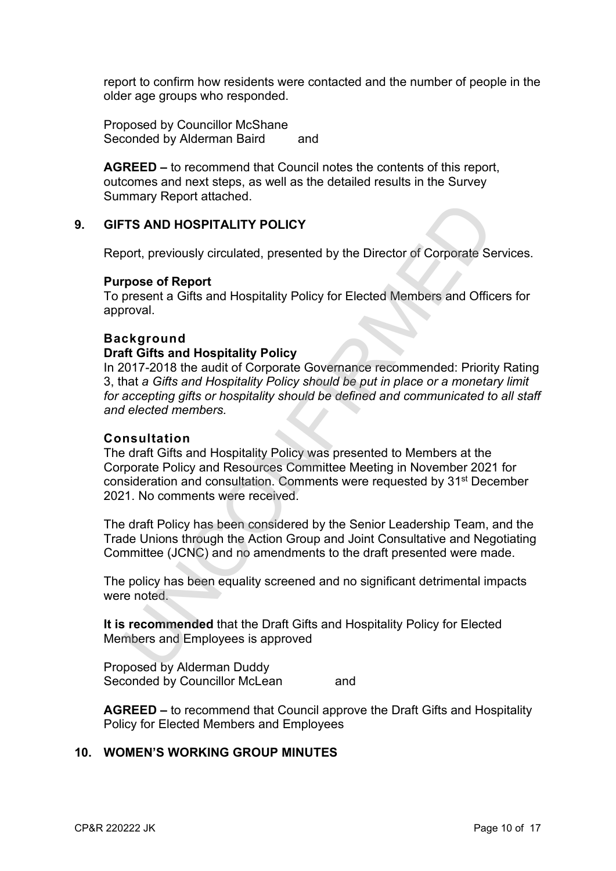report to confirm how residents were contacted and the number of people in the older age groups who responded.

Proposed by Councillor McShane Seconded by Alderman Baird and

**AGREED –** to recommend that Council notes the contents of this report, outcomes and next steps, as well as the detailed results in the Survey Summary Report attached.

## **9. GIFTS AND HOSPITALITY POLICY**

Report, previously circulated, presented by the Director of Corporate Services.

#### **Purpose of Report**

To present a Gifts and Hospitality Policy for Elected Members and Officers for approval.

### **Background**

### **Draft Gifts and Hospitality Policy**

In 2017-2018 the audit of Corporate Governance recommended: Priority Rating 3, that *a Gifts and Hospitality Policy should be put in place or a monetary limit for accepting gifts or hospitality should be defined and communicated to all staff and elected members.* TRIS AND HOSPITALITY POLICY<br>
TRIS AND HOSPITALITY POLICY<br>
prose of Report<br>
present a Gifts and Hospitality Policy for Elected Members and Offic<br>
prose of Report<br>
resent a Gifts and Hospitality Policy<br>
of Elected Members an

#### **Consultation**

The draft Gifts and Hospitality Policy was presented to Members at the Corporate Policy and Resources Committee Meeting in November 2021 for consideration and consultation. Comments were requested by 31st December 2021. No comments were received.

The draft Policy has been considered by the Senior Leadership Team, and the Trade Unions through the Action Group and Joint Consultative and Negotiating Committee (JCNC) and no amendments to the draft presented were made.

The policy has been equality screened and no significant detrimental impacts were noted.

**It is recommended** that the Draft Gifts and Hospitality Policy for Elected Members and Employees is approved

Proposed by Alderman Duddy Seconded by Councillor McLean and

**AGREED –** to recommend that Council approve the Draft Gifts and Hospitality Policy for Elected Members and Employees

## **10. WOMEN'S WORKING GROUP MINUTES**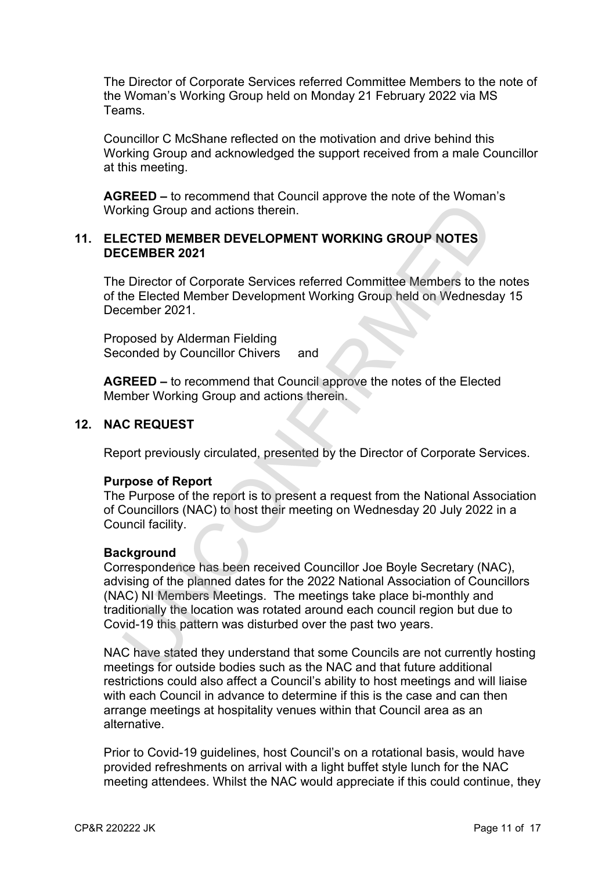The Director of Corporate Services referred Committee Members to the note of the Woman's Working Group held on Monday 21 February 2022 via MS Teams.

Councillor C McShane reflected on the motivation and drive behind this Working Group and acknowledged the support received from a male Councillor at this meeting.

**AGREED –** to recommend that Council approve the note of the Woman's Working Group and actions therein.

## **11. ELECTED MEMBER DEVELOPMENT WORKING GROUP NOTES DECEMBER 2021**

The Director of Corporate Services referred Committee Members to the notes of the Elected Member Development Working Group held on Wednesday 15 December 2021.

Proposed by Alderman Fielding Seconded by Councillor Chivers and

**AGREED –** to recommend that Council approve the notes of the Elected Member Working Group and actions therein.

### **12. NAC REQUEST**

Report previously circulated, presented by the Director of Corporate Services.

#### **Purpose of Report**

The Purpose of the report is to present a request from the National Association of Councillors (NAC) to host their meeting on Wednesday 20 July 2022 in a Council facility.

#### **Background**

Correspondence has been received Councillor Joe Boyle Secretary (NAC), advising of the planned dates for the 2022 National Association of Councillors (NAC) NI Members Meetings. The meetings take place bi-monthly and traditionally the location was rotated around each council region but due to Covid-19 this pattern was disturbed over the past two years. The Tector of Comparison of the pair of the pair of the pair of the pair of the pair of the effects of original entired on the effects of Cero of Corporate Services referred Committee Members to the Elected Member Developm

NAC have stated they understand that some Councils are not currently hosting meetings for outside bodies such as the NAC and that future additional restrictions could also affect a Council's ability to host meetings and will liaise with each Council in advance to determine if this is the case and can then arrange meetings at hospitality venues within that Council area as an alternative.

Prior to Covid-19 guidelines, host Council's on a rotational basis, would have provided refreshments on arrival with a light buffet style lunch for the NAC meeting attendees. Whilst the NAC would appreciate if this could continue, they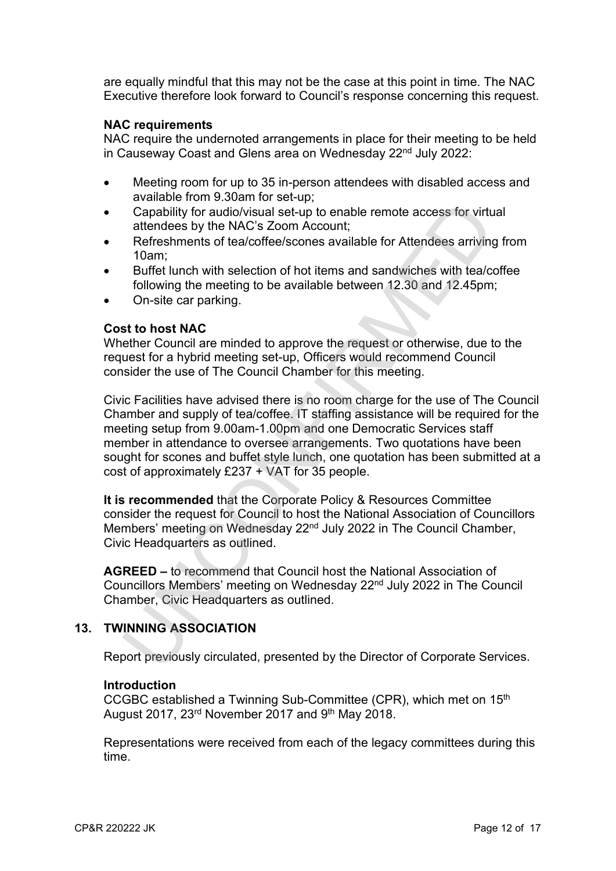are equally mindful that this may not be the case at this point in time. The NAC Executive therefore look forward to Council's response concerning this request.

## **NAC requirements**

NAC require the undernoted arrangements in place for their meeting to be held in Causeway Coast and Glens area on Wednesday 22<sup>nd</sup> July 2022:

- Meeting room for up to 35 in-person attendees with disabled access and available from 9.30am for set-up;
- Capability for audio/visual set-up to enable remote access for virtual attendees by the NAC's Zoom Account;
- Refreshments of tea/coffee/scones available for Attendees arriving from 10am;
- Buffet lunch with selection of hot items and sandwiches with tea/coffee following the meeting to be available between 12.30 and 12.45pm;
- On-site car parking.

#### **Cost to host NAC**

Whether Council are minded to approve the request or otherwise, due to the request for a hybrid meeting set-up, Officers would recommend Council consider the use of The Council Chamber for this meeting.

Civic Facilities have advised there is no room charge for the use of The Council Chamber and supply of tea/coffee. IT staffing assistance will be required for the meeting setup from 9.00am-1.00pm and one Democratic Services staff member in attendance to oversee arrangements. Two quotations have been sought for scones and buffet style lunch, one quotation has been submitted at a cost of approximately £237 + VAT for 35 people. Capability for audio/visual set-up to enable remote access for virtuate<br>Capability for audio/visual set-up to enable remote access for virtuate<br>redeces by the NAC's Zoom Account;<br>Porfereshments of tea/coffee/scones availa

**It is recommended** that the Corporate Policy & Resources Committee consider the request for Council to host the National Association of Councillors Members' meeting on Wednesday 22<sup>nd</sup> July 2022 in The Council Chamber, Civic Headquarters as outlined.

**AGREED –** to recommend that Council host the National Association of Councillors Members' meeting on Wednesday 22nd July 2022 in The Council Chamber, Civic Headquarters as outlined.

## **13. TWINNING ASSOCIATION**

Report previously circulated, presented by the Director of Corporate Services.

#### **Introduction**

CCGBC established a Twinning Sub-Committee (CPR), which met on 15th August 2017, 23<sup>rd</sup> November 2017 and 9<sup>th</sup> May 2018.

Representations were received from each of the legacy committees during this time.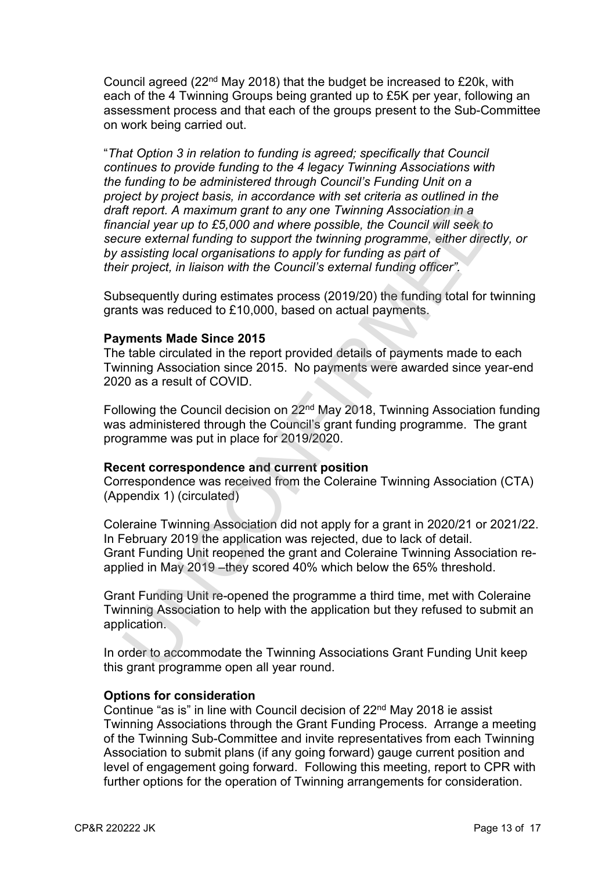Council agreed (22nd May 2018) that the budget be increased to £20k, with each of the 4 Twinning Groups being granted up to £5K per year, following an assessment process and that each of the groups present to the Sub-Committee on work being carried out.

"*That Option 3 in relation to funding is agreed; specifically that Council continues to provide funding to the 4 legacy Twinning Associations with the funding to be administered through Council's Funding Unit on a project by project basis, in accordance with set criteria as outlined in the draft report. A maximum grant to any one Twinning Association in a financial year up to £5,000 and where possible, the Council will seek to secure external funding to support the twinning programme, either directly, or by assisting local organisations to apply for funding as part of their project, in liaison with the Council's external funding officer".*  if the port. A maximum grant to any one Twinning Association in a<br>
incit freport. A maximum grant to any one Twinning Association in a<br>
incit freport. A maximum grant to any one Twinning Association in a<br>
incit if the Coun

Subsequently during estimates process (2019/20) the funding total for twinning grants was reduced to £10,000, based on actual payments.

### **Payments Made Since 2015**

The table circulated in the report provided details of payments made to each Twinning Association since 2015. No payments were awarded since year-end 2020 as a result of COVID.

Following the Council decision on 22nd May 2018, Twinning Association funding was administered through the Council's grant funding programme. The grant programme was put in place for 2019/2020.

#### **Recent correspondence and current position**

Correspondence was received from the Coleraine Twinning Association (CTA) (Appendix 1) (circulated)

Coleraine Twinning Association did not apply for a grant in 2020/21 or 2021/22. In February 2019 the application was rejected, due to lack of detail. Grant Funding Unit reopened the grant and Coleraine Twinning Association reapplied in May 2019 –they scored 40% which below the 65% threshold.

Grant Funding Unit re-opened the programme a third time, met with Coleraine Twinning Association to help with the application but they refused to submit an application.

In order to accommodate the Twinning Associations Grant Funding Unit keep this grant programme open all year round.

#### **Options for consideration**

Continue "as is" in line with Council decision of 22nd May 2018 ie assist Twinning Associations through the Grant Funding Process. Arrange a meeting of the Twinning Sub-Committee and invite representatives from each Twinning Association to submit plans (if any going forward) gauge current position and level of engagement going forward. Following this meeting, report to CPR with further options for the operation of Twinning arrangements for consideration.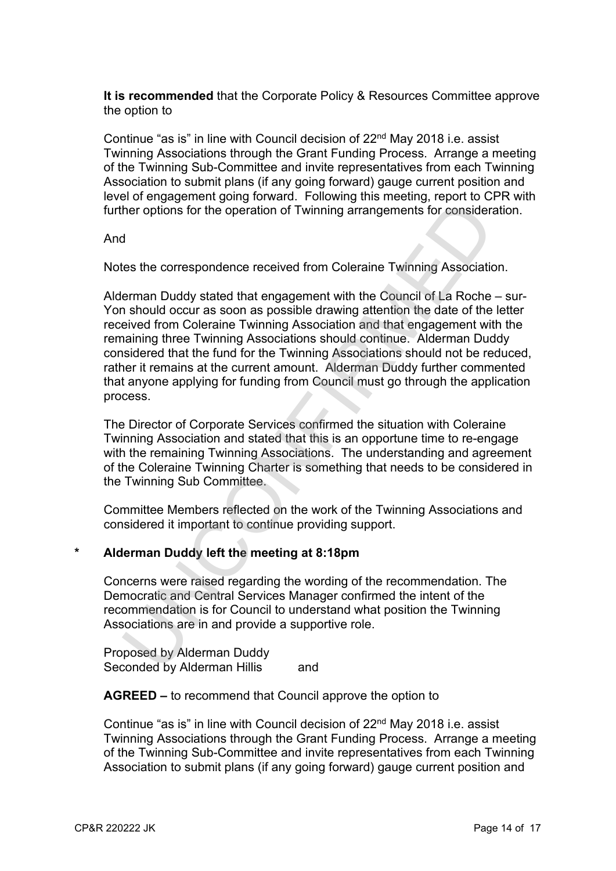**It is recommended** that the Corporate Policy & Resources Committee approve the option to

Continue "as is" in line with Council decision of 22nd May 2018 i.e. assist Twinning Associations through the Grant Funding Process. Arrange a meeting of the Twinning Sub-Committee and invite representatives from each Twinning Association to submit plans (if any going forward) gauge current position and level of engagement going forward. Following this meeting, report to CPR with further options for the operation of Twinning arrangements for consideration.

And

Notes the correspondence received from Coleraine Twinning Association.

Alderman Duddy stated that engagement with the Council of La Roche – sur-Yon should occur as soon as possible drawing attention the date of the letter received from Coleraine Twinning Association and that engagement with the remaining three Twinning Associations should continue. Alderman Duddy considered that the fund for the Twinning Associations should not be reduced, rather it remains at the current amount. Alderman Duddy further commented that anyone applying for funding from Council must go through the application process. There of the operation of Twinning arrangements for consideration<br>ther options for the operation of Twinning arrangements for consideration<br>of the correspondence received from Coleraine Twinning Association<br>terman Duddy st

The Director of Corporate Services confirmed the situation with Coleraine Twinning Association and stated that this is an opportune time to re-engage with the remaining Twinning Associations. The understanding and agreement of the Coleraine Twinning Charter is something that needs to be considered in the Twinning Sub Committee.

Committee Members reflected on the work of the Twinning Associations and considered it important to continue providing support.

## **\* Alderman Duddy left the meeting at 8:18pm**

Concerns were raised regarding the wording of the recommendation. The Democratic and Central Services Manager confirmed the intent of the recommendation is for Council to understand what position the Twinning Associations are in and provide a supportive role.

Proposed by Alderman Duddy Seconded by Alderman Hillis and

**AGREED –** to recommend that Council approve the option to

Continue "as is" in line with Council decision of 22nd May 2018 i.e. assist Twinning Associations through the Grant Funding Process. Arrange a meeting of the Twinning Sub-Committee and invite representatives from each Twinning Association to submit plans (if any going forward) gauge current position and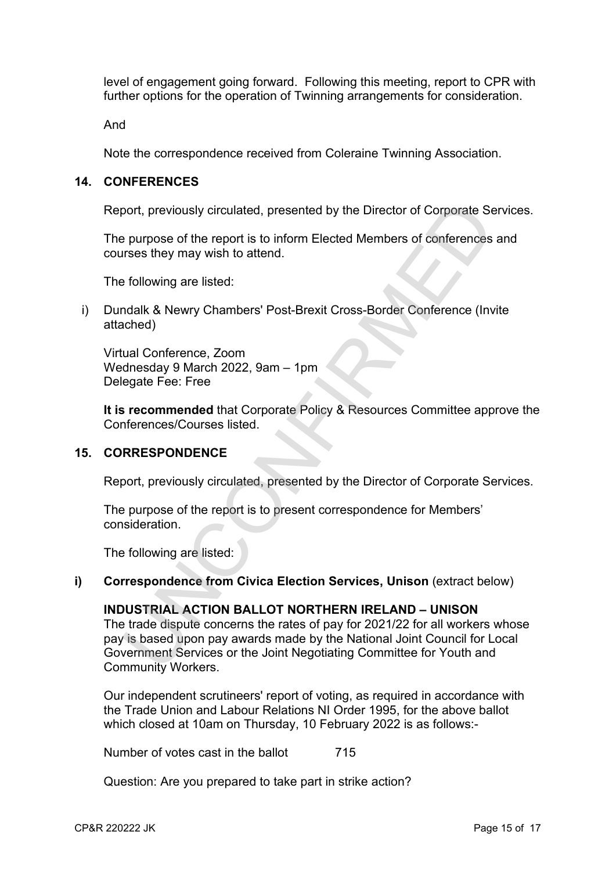level of engagement going forward. Following this meeting, report to CPR with further options for the operation of Twinning arrangements for consideration.

And

Note the correspondence received from Coleraine Twinning Association.

### **14. CONFERENCES**

Report, previously circulated, presented by the Director of Corporate Services.

The purpose of the report is to inform Elected Members of conferences and courses they may wish to attend.

The following are listed:

i) Dundalk & Newry Chambers' Post-Brexit Cross-Border Conference (Invite attached)

Virtual Conference, Zoom Wednesday 9 March 2022, 9am – 1pm Delegate Fee: Free

**It is recommended** that Corporate Policy & Resources Committee approve the Conferences/Courses listed.

#### **15. CORRESPONDENCE**

Report, previously circulated, presented by the Director of Corporate Services.

The purpose of the report is to present correspondence for Members' consideration.

The following are listed:

#### **i)** Correspondence from Civica Election Services, Unison (extract below)

#### **INDUSTRIAL ACTION BALLOT NORTHERN IRELAND – UNISON**

The trade dispute concerns the rates of pay for 2021/22 for all workers whose pay is based upon pay awards made by the National Joint Council for Local Government Services or the Joint Negotiating Committee for Youth and Community Workers. bort, previously circulated, presented by the Director of Corporate Se<br>
purpose of the report is to inform Elected Members of conferences<br>
stress they may wish to attend.<br>
following are listed:<br>
ridak & Newry Chambers' Pos

Our independent scrutineers' report of voting, as required in accordance with the Trade Union and Labour Relations NI Order 1995, for the above ballot which closed at 10am on Thursday, 10 February 2022 is as follows:-

Number of votes cast in the ballot 715

Question: Are you prepared to take part in strike action?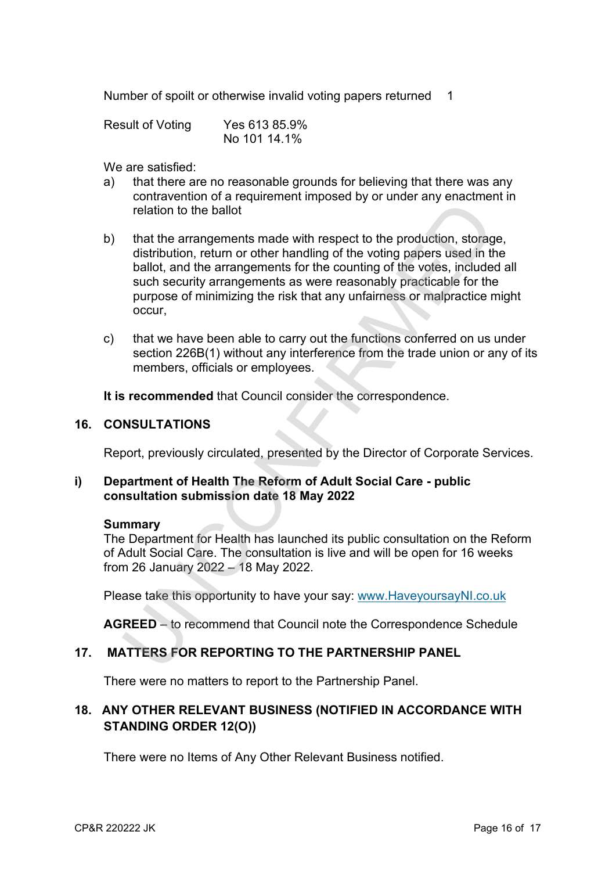Number of spoilt or otherwise invalid voting papers returned 1

| <b>Result of Voting</b> | Yes 613 85.9% |
|-------------------------|---------------|
|                         | No 101 14.1%  |

We are satisfied:

- a) that there are no reasonable grounds for believing that there was any contravention of a requirement imposed by or under any enactment in relation to the ballot
- b) that the arrangements made with respect to the production, storage, distribution, return or other handling of the voting papers used in the ballot, and the arrangements for the counting of the votes, included all such security arrangements as were reasonably practicable for the purpose of minimizing the risk that any unfairness or malpractice might occur, relation to the ballot<br>that the arrangements made with respect to the production, storage<br>distribution, return or other handling of the voting papers used in the<br>sulot, and the arrangements for the counting of the votes, i
- c) that we have been able to carry out the functions conferred on us under section 226B(1) without any interference from the trade union or any of its members, officials or employees.

**It is recommended** that Council consider the correspondence.

### **16. CONSULTATIONS**

Report, previously circulated, presented by the Director of Corporate Services.

## **i) Department of Health The Reform of Adult Social Care - public consultation submission date 18 May 2022**

#### **Summary**

The Department for Health has launched its public consultation on the Reform of Adult Social Care. The consultation is live and will be open for 16 weeks from 26 January 2022 – 18 May 2022.

Please take this opportunity to have your say: www.HaveyoursayNI.co.uk

**AGREED** – to recommend that Council note the Correspondence Schedule

## **17. MATTERS FOR REPORTING TO THE PARTNERSHIP PANEL**

There were no matters to report to the Partnership Panel.

# **18. ANY OTHER RELEVANT BUSINESS (NOTIFIED IN ACCORDANCE WITH STANDING ORDER 12(O))**

There were no Items of Any Other Relevant Business notified.